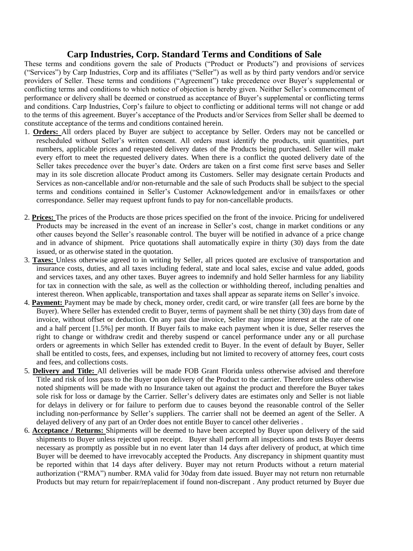## **Carp Industries, Corp. Standard Terms and Conditions of Sale**

These terms and conditions govern the sale of Products ("Product or Products") and provisions of services ("Services") by Carp Industries, Corp and its affiliates ("Seller") as well as by third party vendors and/or service providers of Seller. These terms and conditions ("Agreement") take precedence over Buyer's supplemental or conflicting terms and conditions to which notice of objection is hereby given. Neither Seller's commencement of performance or delivery shall be deemed or construed as acceptance of Buyer's supplemental or conflicting terms and conditions. Carp Industries, Corp's failure to object to conflicting or additional terms will not change or add to the terms of this agreement. Buyer's acceptance of the Products and/or Services from Seller shall be deemed to constitute acceptance of the terms and conditions contained herein.

- 1. **Orders:** All orders placed by Buyer are subject to acceptance by Seller. Orders may not be cancelled or rescheduled without Seller's written consent. All orders must identify the products, unit quantities, part numbers, applicable prices and requested delivery dates of the Products being purchased. Seller will make every effort to meet the requested delivery dates. When there is a conflict the quoted delivery date of the Seller takes precedence over the buyer's date. Orders are taken on a first come first serve bases and Seller may in its sole discretion allocate Product among its Customers. Seller may designate certain Products and Services as non-cancellable and/or non-returnable and the sale of such Products shall be subject to the special terms and conditions contained in Seller's Customer Acknowledgement and/or in emails/faxes or other correspondance. Seller may request upfront funds to pay for non-cancellable products.
- 2. **Prices:** The prices of the Products are those prices specified on the front of the invoice. Pricing for undelivered Products may be increased in the event of an increase in Seller's cost, change in market conditions or any other causes beyond the Seller's reasonable control. The buyer will be notified in advance of a price change and in advance of shipment. Price quotations shall automatically expire in thirty (30) days from the date issued, or as otherwise stated in the quotation.
- 3. **Taxes:** Unless otherwise agreed to in writing by Seller, all prices quoted are exclusive of transportation and insurance costs, duties, and all taxes including federal, state and local sales, excise and value added, goods and services taxes, and any other taxes. Buyer agrees to indemnify and hold Seller harmless for any liability for tax in connection with the sale, as well as the collection or withholding thereof, including penalties and interest thereon. When applicable, transportation and taxes shall appear as separate items on Seller's invoice.
- 4. **Payment:** Payment may be made by check, money order, credit card, or wire transfer (all fees are borne by the Buyer). Where Seller has extended credit to Buyer, terms of payment shall be net thirty (30) days from date of invoice, without offset or deduction. On any past due invoice, Seller may impose interest at the rate of one and a half percent [1.5%] per month. If Buyer fails to make each payment when it is due, Seller reserves the right to change or withdraw credit and thereby suspend or cancel performance under any or all purchase orders or agreements in which Seller has extended credit to Buyer. In the event of default by Buyer, Seller shall be entitled to costs, fees, and expenses, including but not limited to recovery of attorney fees, court costs and fees, and collections costs.
- 5. **Delivery and Title:** All deliveries will be made FOB Grant Florida unless otherwise advised and therefore Title and risk of loss pass to the Buyer upon delivery of the Product to the carrier. Therefore unless otherwise noted shipments will be made with no Insurance taken out against the product and therefore the Buyer takes sole risk for loss or damage by the Carrier. Seller's delivery dates are estimates only and Seller is not liable for delays in delivery or for failure to perform due to causes beyond the reasonable control of the Seller including non-performance by Seller's suppliers. The carrier shall not be deemed an agent of the Seller. A delayed delivery of any part of an Order does not entitle Buyer to cancel other deliveries .
- 6. **Acceptance / Returns:** Shipments will be deemed to have been accepted by Buyer upon delivery of the said shipments to Buyer unless rejected upon receipt. Buyer shall perform all inspections and tests Buyer deems necessary as promptly as possible but in no event later than 14 days after delivery of product, at which time Buyer will be deemed to have irrevocably accepted the Products. Any discrepancy in shipment quantity must be reported within that 14 days after delivery. Buyer may not return Products without a return material authorization ("RMA") number. RMA valid for 30day from date issued. Buyer may not return non returnable Products but may return for repair/replacement if found non-discrepant . Any product returned by Buyer due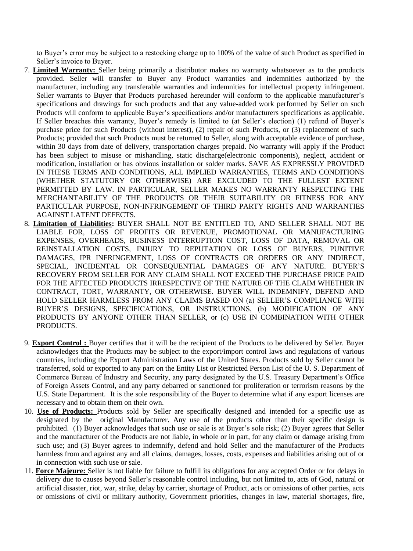to Buyer's error may be subject to a restocking charge up to 100% of the value of such Product as specified in Seller's invoice to Buyer.

- 7. **Limited Warranty:** Seller being primarily a distributor makes no warranty whatsoever as to the products provided. Seller will transfer to Buyer any Product warranties and indemnities authorized by the manufacturer, including any transferable warranties and indemnities for intellectual property infringement. Seller warrants to Buyer that Products purchased hereunder will conform to the applicable manufacturer's specifications and drawings for such products and that any value-added work performed by Seller on such Products will conform to applicable Buyer's specifications and/or manufacturers specifications as applicable. If Seller breaches this warranty, Buyer's remedy is limited to (at Seller's election) (1) refund of Buyer's purchase price for such Products (without interest), (2) repair of such Products, or (3) replacement of such Products; provided that such Products must be returned to Seller, along with acceptable evidence of purchase, within 30 days from date of delivery, transportation charges prepaid. No warranty will apply if the Product has been subject to misuse or mishandling, static discharge(electronic components), neglect, accident or modification, installation or has obvious installation or solder marks. SAVE AS EXPRESSLY PROVIDED IN THESE TERMS AND CONDITIONS, ALL IMPLIED WARRANTIES, TERMS AND CONDITIONS (WHETHER STATUTORY OR OTHERWISE) ARE EXCLUDED TO THE FULLEST EXTENT PERMITTED BY LAW. IN PARTICULAR, SELLER MAKES NO WARRANTY RESPECTING THE MERCHANTABILITY OF THE PRODUCTS OR THEIR SUITABILITY OR FITNESS FOR ANY PARTICULAR PURPOSE, NON-INFRINGEMENT OF THIRD PARTY RIGHTS AND WARRANTIES AGAINST LATENT DEFECTS.
- 8. **Limitation of Liabilities:** BUYER SHALL NOT BE ENTITLED TO, AND SELLER SHALL NOT BE LIABLE FOR, LOSS OF PROFITS OR REVENUE, PROMOTIONAL OR MANUFACTURING EXPENSES, OVERHEADS, BUSINESS INTERRUPTION COST, LOSS OF DATA, REMOVAL OR REINSTALLATION COSTS, INJURY TO REPUTATION OR LOSS OF BUYERS, PUNITIVE DAMAGES, IPR INFRINGEMENT, LOSS OF CONTRACTS OR ORDERS OR ANY INDIRECT, SPECIAL, INCIDENTAL OR CONSEQUENTIAL DAMAGES OF ANY NATURE. BUYER'S RECOVERY FROM SELLER FOR ANY CLAIM SHALL NOT EXCEED THE PURCHASE PRICE PAID FOR THE AFFECTED PRODUCTS IRRESPECTIVE OF THE NATURE OF THE CLAIM WHETHER IN CONTRACT, TORT, WARRANTY, OR OTHERWISE. BUYER WILL INDEMNIFY, DEFEND AND HOLD SELLER HARMLESS FROM ANY CLAIMS BASED ON (a) SELLER'S COMPLIANCE WITH BUYER'S DESIGNS, SPECIFICATIONS, OR INSTRUCTIONS, (b) MODIFICATION OF ANY PRODUCTS BY ANYONE OTHER THAN SELLER, or (c) USE IN COMBINATION WITH OTHER PRODUCTS.
- 9. **Export Control :** Buyer certifies that it will be the recipient of the Products to be delivered by Seller. Buyer acknowledges that the Products may be subject to the export/import control laws and regulations of various countries, including the Export Administration Laws of the United States. Products sold by Seller cannot be transferred, sold or exported to any part on the Entity List or Restricted Person List of the U. S. Department of Commerce Bureau of Industry and Security, any party designated by the U.S. Treasury Department's Office of Foreign Assets Control, and any party debarred or sanctioned for proliferation or terrorism reasons by the U.S. State Department. It is the sole responsibility of the Buyer to determine what if any export licenses are necessary and to obtain them on their own.
- 10. **Use of Products:** Products sold by Seller are specifically designed and intended for a specific use as designated by the original Manufacturer. Any use of the products other than their specific design is prohibited. (1) Buyer acknowledges that such use or sale is at Buyer's sole risk; (2) Buyer agrees that Seller and the manufacturer of the Products are not liable, in whole or in part, for any claim or damage arising from such use; and (3) Buyer agrees to indemnify, defend and hold Seller and the manufacturer of the Products harmless from and against any and all claims, damages, losses, costs, expenses and liabilities arising out of or in connection with such use or sale.
- 11. **Force Majeure:** Seller is not liable for failure to fulfill its obligations for any accepted Order or for delays in delivery due to causes beyond Seller's reasonable control including, but not limited to, acts of God, natural or artificial disaster, riot, war, strike, delay by carrier, shortage of Product, acts or omissions of other parties, acts or omissions of civil or military authority, Government priorities, changes in law, material shortages, fire,